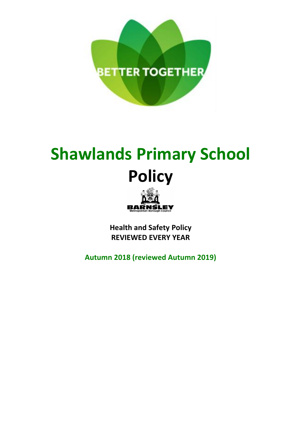

# **Shawlands Primary School Policy**



**Health and Safety Policy REVIEWED EVERY YEAR**

**Autumn 2018 (reviewed Autumn 2019)**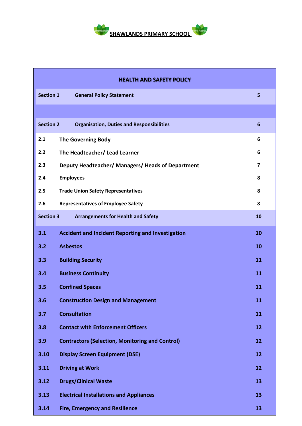

| <b>HEALTH AND SAFETY POLICY</b>                                     |                                                                     |                 |  |
|---------------------------------------------------------------------|---------------------------------------------------------------------|-----------------|--|
| <b>Section 1</b>                                                    | <b>General Policy Statement</b>                                     | 5               |  |
|                                                                     |                                                                     |                 |  |
| <b>Section 2</b>                                                    | <b>Organisation, Duties and Responsibilities</b>                    | $6\phantom{1}6$ |  |
| 2.1                                                                 | The Governing Body                                                  | 6               |  |
| 2.2                                                                 | 6<br>The Headteacher/ Lead Learner                                  |                 |  |
| 2.3                                                                 | $\overline{ }$<br>Deputy Headteacher/ Managers/ Heads of Department |                 |  |
| 2.4<br><b>Employees</b><br>8                                        |                                                                     |                 |  |
| 2.5                                                                 | <b>Trade Union Safety Representatives</b>                           | 8               |  |
| 2.6                                                                 | <b>Representatives of Employee Safety</b>                           | 8               |  |
| <b>Section 3</b><br><b>Arrangements for Health and Safety</b><br>10 |                                                                     |                 |  |
| 3.1                                                                 | <b>Accident and Incident Reporting and Investigation</b>            | 10              |  |
| 3.2                                                                 | <b>Asbestos</b>                                                     | 10              |  |
| 3.3                                                                 | <b>Building Security</b>                                            | 11              |  |
| 3.4                                                                 | <b>Business Continuity</b><br>11                                    |                 |  |
| 3.5                                                                 | <b>Confined Spaces</b><br>11                                        |                 |  |
| 3.6                                                                 | <b>Construction Design and Management</b><br>11                     |                 |  |
| 3.7                                                                 | <b>Consultation</b>                                                 | 11              |  |
| 3.8                                                                 | <b>Contact with Enforcement Officers</b>                            | 12              |  |
| 3.9                                                                 | <b>Contractors (Selection, Monitoring and Control)</b>              | 12              |  |
| 3.10                                                                | <b>Display Screen Equipment (DSE)</b>                               | 12              |  |
| 3.11                                                                | <b>Driving at Work</b>                                              | 12              |  |
| 3.12                                                                | <b>Drugs/Clinical Waste</b>                                         | 13              |  |
| 3.13                                                                | <b>Electrical Installations and Appliances</b>                      | 13              |  |
| 3.14                                                                | <b>Fire, Emergency and Resilience</b>                               | 13              |  |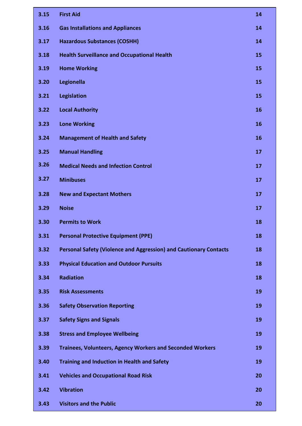| 3.15 | <b>First Aid</b>                                                         | 14 |
|------|--------------------------------------------------------------------------|----|
| 3.16 | <b>Gas Installations and Appliances</b>                                  | 14 |
| 3.17 | <b>Hazardous Substances (COSHH)</b>                                      | 14 |
| 3.18 | <b>Health Surveillance and Occupational Health</b>                       | 15 |
| 3.19 | <b>Home Working</b>                                                      | 15 |
| 3.20 | Legionella                                                               | 15 |
| 3.21 | <b>Legislation</b>                                                       | 15 |
| 3.22 | <b>Local Authority</b>                                                   | 16 |
| 3.23 | <b>Lone Working</b>                                                      | 16 |
| 3.24 | <b>Management of Health and Safety</b>                                   | 16 |
| 3.25 | <b>Manual Handling</b>                                                   | 17 |
| 3.26 | <b>Medical Needs and Infection Control</b>                               | 17 |
| 3.27 | <b>Minibuses</b>                                                         | 17 |
| 3.28 | <b>New and Expectant Mothers</b>                                         | 17 |
| 3.29 | <b>Noise</b>                                                             | 17 |
| 3.30 | <b>Permits to Work</b>                                                   | 18 |
| 3.31 | <b>Personal Protective Equipment (PPE)</b>                               | 18 |
| 3.32 | <b>Personal Safety (Violence and Aggression) and Cautionary Contacts</b> | 18 |
| 3.33 | <b>Physical Education and Outdoor Pursuits</b>                           | 18 |
| 3.34 | <b>Radiation</b>                                                         | 18 |
| 3.35 | <b>Risk Assessments</b>                                                  | 19 |
| 3.36 | <b>Safety Observation Reporting</b>                                      | 19 |
| 3.37 | <b>Safety Signs and Signals</b>                                          | 19 |
| 3.38 | <b>Stress and Employee Wellbeing</b>                                     | 19 |
| 3.39 | <b>Trainees, Volunteers, Agency Workers and Seconded Workers</b>         | 19 |
| 3.40 | <b>Training and Induction in Health and Safety</b>                       | 19 |
| 3.41 | <b>Vehicles and Occupational Road Risk</b>                               | 20 |
| 3.42 | <b>Vibration</b>                                                         | 20 |
| 3.43 | <b>Visitors and the Public</b>                                           | 20 |
|      |                                                                          |    |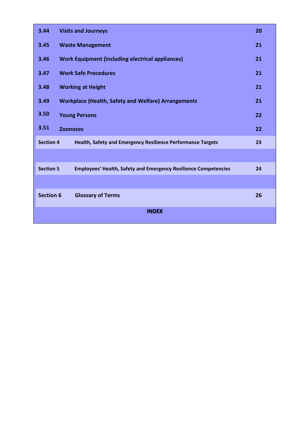| 3.44                                                                                         | <b>Visits and Journeys</b><br>20                                       |    |
|----------------------------------------------------------------------------------------------|------------------------------------------------------------------------|----|
| 3.45                                                                                         | <b>Waste Management</b>                                                |    |
| 3.46                                                                                         | <b>Work Equipment (including electrical appliances)</b>                |    |
| 3.47                                                                                         | <b>Work Safe Procedures</b><br>21                                      |    |
| 3.48                                                                                         | <b>Working at Height</b><br>21                                         |    |
| 3.49                                                                                         | <b>Workplace (Health, Safety and Welfare) Arrangements</b><br>21       |    |
| 3.50                                                                                         | 22<br><b>Young Persons</b>                                             |    |
| 3.51<br>22<br><b>Zoonoses</b>                                                                |                                                                        |    |
| <b>Section 4</b><br><b>Health, Safety and Emergency Resilience Performance Targets</b><br>23 |                                                                        |    |
|                                                                                              |                                                                        |    |
| <b>Section 5</b>                                                                             | <b>Employees' Health, Safety and Emergency Resilience Competencies</b> | 24 |
|                                                                                              |                                                                        |    |
| <b>Section 6</b>                                                                             | <b>Glossary of Terms</b>                                               | 26 |
| <b>INDEX</b>                                                                                 |                                                                        |    |
|                                                                                              |                                                                        |    |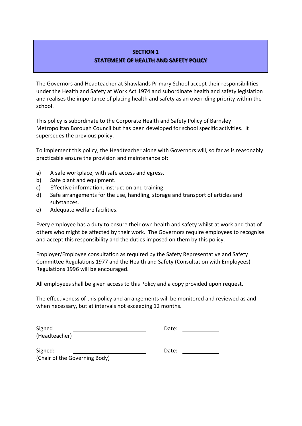# **SECTION 1**

# **STATEMENT OF HEALTH AND SAFETY POLICY**

The Governors and Headteacher at Shawlands Primary School accept their responsibilities under the Health and Safety at Work Act 1974 and subordinate health and safety legislation and realises the importance of placing health and safety as an overriding priority within the school.

This policy is subordinate to the Corporate Health and Safety Policy of Barnsley Metropolitan Borough Council but has been developed for school specific activities. It supersedes the previous policy.

To implement this policy, the Headteacher along with Governors will, so far as is reasonably practicable ensure the provision and maintenance of:

- a) A safe workplace, with safe access and egress.
- b) Safe plant and equipment.
- c) Effective information, instruction and training.
- d) Safe arrangements for the use, handling, storage and transport of articles and substances.
- e) Adequate welfare facilities.

Every employee has a duty to ensure their own health and safety whilst at work and that of others who might be affected by their work. The Governors require employees to recognise and accept this responsibility and the duties imposed on them by this policy.

Employer/Employee consultation as required by the Safety Representative and Safety Committee Regulations 1977 and the Health and Safety (Consultation with Employees) Regulations 1996 will be encouraged.

All employees shall be given access to this Policy and a copy provided upon request.

The effectiveness of this policy and arrangements will be monitored and reviewed as and when necessary, but at intervals not exceeding 12 months.

| Signed                        | Date: |
|-------------------------------|-------|
| (Headteacher)                 |       |
| Signed:                       | Date: |
| (Chair of the Governing Body) |       |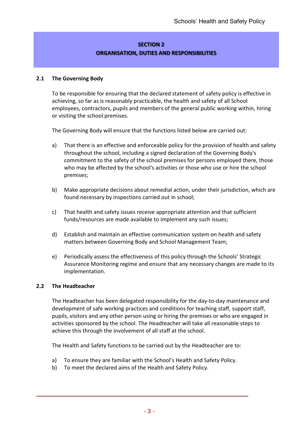# **SECTION 2 ORGANISATION, DUTIES AND RESPONSIBILITIES**

## **2.1 The Governing Body**

To be responsible for ensuring that the declared statement of safety policy is effective in achieving, so far as is reasonably practicable, the health and safety of all School employees, contractors, pupils and members of the general public working within, hiring or visiting the school premises.

The Governing Body will ensure that the functions listed below are carried out:

- a) That there is an effective and enforceable policy for the provision of health and safety throughout the school, including a signed declaration of the Governing Body's commitment to the safety of the school premises for persons employed there, those who may be affected by the school's activities or those who use or hire the school premises;
- b) Make appropriate decisions about remedial action, under their jurisdiction, which are found necessary by inspections carried out in school;
- c) That health and safety issues receive appropriate attention and that sufficient funds/resources are made available to implement any such issues;
- d) Establish and maintain an effective communication system on health and safety matters between Governing Body and School Management Team;
- e) Periodically assess the effectiveness of this policy through the Schools' Strategic Assurance Monitoring regime and ensure that any necessary changes are made to its implementation.

#### **2.2 The Headteacher**

The Headteacher has been delegated responsibility for the day-to-day maintenance and development of safe working practices and conditions for teaching staff, support staff, pupils, visitors and any other person using or hiring the premises or who are engaged in activities sponsored by the school. The Headteacher will take all reasonable steps to achieve this through the involvement of all staff at the school.

The Health and Safety functions to be carried out by the Headteacher are to:

- a) To ensure they are familiar with the School's Health and Safety Policy.
- b) To meet the declared aims of the Health and Safety Policy.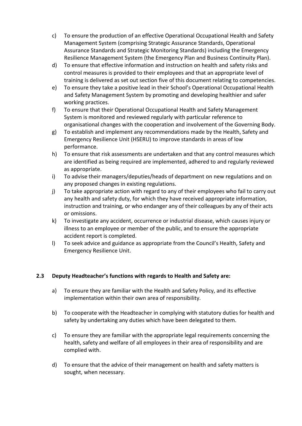- c) To ensure the production of an effective Operational Occupational Health and Safety Management System (comprising Strategic Assurance Standards, Operational Assurance Standards and Strategic Monitoring Standards) including the Emergency Resilience Management System (the Emergency Plan and Business Continuity Plan).
- d) To ensure that effective information and instruction on health and safety risks and control measures is provided to their employees and that an appropriate level of training is delivered as set out section five of this document relating to competencies.
- e) To ensure they take a positive lead in their School's Operational Occupational Health and Safety Management System by promoting and developing healthier and safer working practices.
- f) To ensure that their Operational Occupational Health and Safety Management System is monitored and reviewed regularly with particular reference to organisational changes with the cooperation and involvement of the Governing Body.
- g) To establish and implement any recommendations made by the Health, Safety and Emergency Resilience Unit (HSERU) to improve standards in areas of low performance.
- h) To ensure that risk assessments are undertaken and that any control measures which are identified as being required are implemented, adhered to and regularly reviewed as appropriate.
- i) To advise their managers/deputies/heads of department on new regulations and on any proposed changes in existing regulations.
- j) To take appropriate action with regard to any of their employees who fail to carry out any health and safety duty, for which they have received appropriate information, instruction and training, or who endanger any of their colleagues by any of their acts or omissions.
- k) To investigate any accident, occurrence or industrial disease, which causes injury or illness to an employee or member of the public, and to ensure the appropriate accident report is completed.
- l) To seek advice and guidance as appropriate from the Council's Health, Safety and Emergency Resilience Unit.

# **2.3 Deputy Headteacher's functions with regards to Health and Safety are:**

- a) To ensure they are familiar with the Health and Safety Policy, and its effective implementation within their own area of responsibility.
- b) To cooperate with the Headteacher in complying with statutory duties for health and safety by undertaking any duties which have been delegated to them.
- c) To ensure they are familiar with the appropriate legal requirements concerning the health, safety and welfare of all employees in their area of responsibility and are complied with.
- d) To ensure that the advice of their management on health and safety matters is sought, when necessary.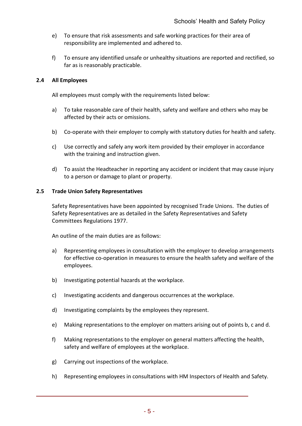- e) To ensure that risk assessments and safe working practices for their area of responsibility are implemented and adhered to.
- f) To ensure any identified unsafe or unhealthy situations are reported and rectified, so far as is reasonably practicable.

#### **2.4 All Employees**

All employees must comply with the requirements listed below:

- a) To take reasonable care of their health, safety and welfare and others who may be affected by their acts or omissions.
- b) Co-operate with their employer to comply with statutory duties for health and safety.
- c) Use correctly and safely any work item provided by their employer in accordance with the training and instruction given.
- d) To assist the Headteacher in reporting any accident or incident that may cause injury to a person or damage to plant or property.

#### **2.5 Trade Union Safety Representatives**

Safety Representatives have been appointed by recognised Trade Unions. The duties of Safety Representatives are as detailed in the Safety Representatives and Safety Committees Regulations 1977.

An outline of the main duties are as follows:

- a) Representing employees in consultation with the employer to develop arrangements for effective co-operation in measures to ensure the health safety and welfare of the employees.
- b) Investigating potential hazards at the workplace.
- c) Investigating accidents and dangerous occurrences at the workplace.
- d) Investigating complaints by the employees they represent.
- e) Making representations to the employer on matters arising out of points b, c and d.
- f) Making representations to the employer on general matters affecting the health, safety and welfare of employees at the workplace.
- g) Carrying out inspections of the workplace.
- h) Representing employees in consultations with HM Inspectors of Health and Safety.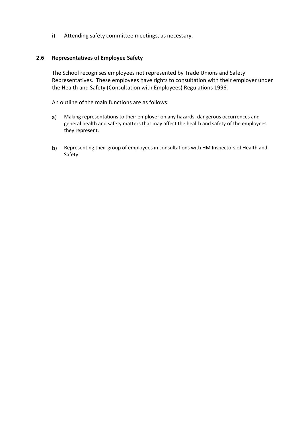i) Attending safety committee meetings, as necessary.

#### **2.6 Representatives of Employee Safety**

The School recognises employees not represented by Trade Unions and Safety Representatives. These employees have rights to consultation with their employer under the Health and Safety (Consultation with Employees) Regulations 1996.

An outline of the main functions are as follows:

- a) Making representations to their employer on any hazards, dangerous occurrences and general health and safety matters that may affect the health and safety of the employees they represent.
- b) Representing their group of employees in consultations with HM Inspectors of Health and Safety.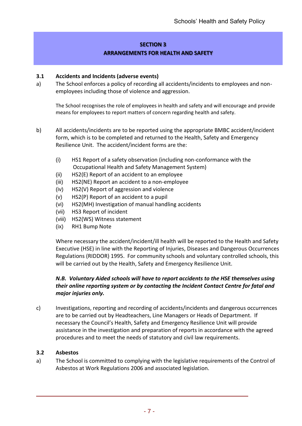# **SECTION 3 ARRANGEMENTS FOR HEALTH AND SAFETY**

## **3.1 Accidents and Incidents (adverse events)**

a) The School enforces a policy of recording all accidents/incidents to employees and nonemployees including those of violence and aggression.

The School recognises the role of employees in health and safety and will encourage and provide means for employees to report matters of concern regarding health and safety.

- b) All accidents/incidents are to be reported using the appropriate BMBC accident/incident form, which is to be completed and returned to the Health, Safety and Emergency Resilience Unit. The accident/incident forms are the:
	- (i) HS1 Report of a safety observation (including non-conformance with the Occupational Health and Safety Management System)
	- (ii) HS2(E) Report of an accident to an employee
	- (iii) HS2(NE) Report an accident to a non-employee
	- (iv) HS2(V) Report of aggression and violence
	- (v) HS2(P) Report of an accident to a pupil
	- (vi) HS2(MH) Investigation of manual handling accidents
	- (vii) HS3 Report of incident
	- (viii) HS2(WS) Witness statement
	- (ix) RH1 Bump Note

Where necessary the accident/incident/ill health will be reported to the Health and Safety Executive (HSE) in line with the Reporting of Injuries, Diseases and Dangerous Occurrences Regulations (RIDDOR) 1995. For community schools and voluntary controlled schools, this will be carried out by the Health, Safety and Emergency Resilience Unit.

# *N.B. Voluntary Aided schools will have to report accidents to the HSE themselves using their online reporting system or by contacting the Incident Contact Centre for fatal and major injuries only.*

c) Investigations, reporting and recording of accidents/incidents and dangerous occurrences are to be carried out by Headteachers, Line Managers or Heads of Department. If necessary the Council's Health, Safety and Emergency Resilience Unit will provide assistance in the investigation and preparation of reports in accordance with the agreed procedures and to meet the needs of statutory and civil law requirements.

#### **3.2 Asbestos**

a) The School is committed to complying with the legislative requirements of the Control of Asbestos at Work Regulations 2006 and associated legislation.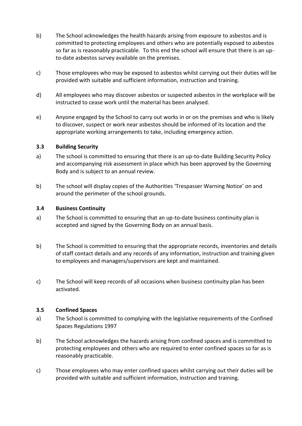- b) The School acknowledges the health hazards arising from exposure to asbestos and is committed to protecting employees and others who are potentially exposed to asbestos so far as is reasonably practicable. To this end the school will ensure that there is an upto-date asbestos survey available on the premises.
- c) Those employees who may be exposed to asbestos whilst carrying out their duties will be provided with suitable and sufficient information, instruction and training.
- d) All employees who may discover asbestos or suspected asbestos in the workplace will be instructed to cease work until the material has been analysed.
- e) Anyone engaged by the School to carry out works in or on the premises and who is likely to discover, suspect or work near asbestos should be informed of its location and the appropriate working arrangements to take, including emergency action.

## **3.3 Building Security**

- a) The school is committed to ensuring that there is an up-to-date Building Security Policy and accompanying risk assessment in place which has been approved by the Governing Body and is subject to an annual review.
- b) The school will display copies of the Authorities 'Trespasser Warning Notice' on and around the perimeter of the school grounds.

## **3.4 Business Continuity**

- a) The School is committed to ensuring that an up-to-date business continuity plan is accepted and signed by the Governing Body on an annual basis.
- b) The School is committed to ensuring that the appropriate records, inventories and details of staff contact details and any records of any information, instruction and training given to employees and managers/supervisors are kept and maintained.
- c) The School will keep records of all occasions when business continuity plan has been activated.

#### **3.5 Confined Spaces**

- a) The School is committed to complying with the legislative requirements of the Confined Spaces Regulations 1997
- b) The School acknowledges the hazards arising from confined spaces and is committed to protecting employees and others who are required to enter confined spaces so far as is reasonably practicable.
- c) Those employees who may enter confined spaces whilst carrying out their duties will be provided with suitable and sufficient information, instruction and training.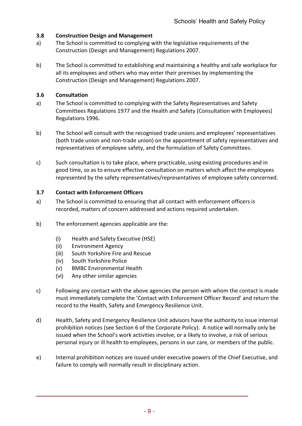# **3.8 Construction Design and Management**

- a) The School is committed to complying with the legislative requirements of the Construction (Design and Management) Regulations 2007.
- b) The School is committed to establishing and maintaining a healthy and safe workplace for all its employees and others who may enter their premises by implementing the Construction (Design and Management) Regulations 2007.

# **3.6 Consultation**

- a) The School is committed to complying with the Safety Representatives and Safety Committees Regulations 1977 and the Health and Safety (Consultation with Employees) Regulations 1996.
- b) The School will consult with the recognised trade unions and employees' representatives (both trade union and non-trade union) on the appointment of safety representatives and representatives of employee safety, and the formulation of Safety Committees.
- c) Such consultation is to take place, where practicable, using existing procedures and in good time, so as to ensure effective consultation on matters which affect the employees represented by the safety representatives/representatives of employee safety concerned.

# **3.7 Contact with Enforcement Officers**

- a) The School is committed to ensuring that all contact with enforcement officers is recorded, matters of concern addressed and actions required undertaken.
- b) The enforcement agencies applicable are the:
	- (i) Health and Safety Executive (HSE)
	- (ii) Environment Agency
	- (iii) South Yorkshire Fire and Rescue
	- (iv) South Yorkshire Police
	- (v) BMBC Environmental Health
	- (vi) Any other similar agencies
- c) Following any contact with the above agencies the person with whom the contact is made must immediately complete the 'Contact with Enforcement Officer Record' and return the record to the Health, Safety and Emergency Resilience Unit.
- d) Health, Safety and Emergency Resilience Unit advisors have the authority to issue internal prohibition notices (see Section 6 of the Corporate Policy). A notice will normally only be issued when the School's work activities involve, or a likely to involve, a risk of serious personal injury or ill health to employees, persons in our care, or members of the public.
- e) Internal prohibition notices are issued under executive powers of the Chief Executive, and failure to comply will normally result in disciplinary action.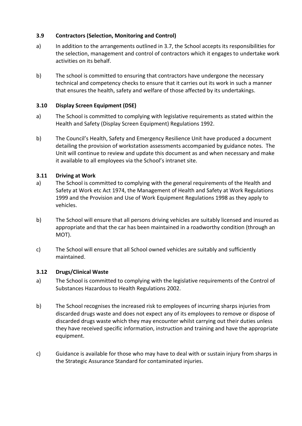# **3.9 Contractors (Selection, Monitoring and Control)**

- a) In addition to the arrangements outlined in 3.7, the School accepts its responsibilities for the selection, management and control of contractors which it engages to undertake work activities on its behalf.
- b) The school is committed to ensuring that contractors have undergone the necessary technical and competency checks to ensure that it carries out its work in such a manner that ensures the health, safety and welfare of those affected by its undertakings.

# **3.10 Display Screen Equipment (DSE)**

- a) The School is committed to complying with legislative requirements as stated within the Health and Safety (Display Screen Equipment) Regulations 1992.
- b) The Council's Health, Safety and Emergency Resilience Unit have produced a document detailing the provision of workstation assessments accompanied by guidance notes. The Unit will continue to review and update this document as and when necessary and make it available to all employees via the School's intranet site.

# **3.11 Driving at Work**

- a) The School is committed to complying with the general requirements of the Health and Safety at Work etc Act 1974, the Management of Health and Safety at Work Regulations 1999 and the Provision and Use of Work Equipment Regulations 1998 as they apply to vehicles.
- b) The School will ensure that all persons driving vehicles are suitably licensed and insured as appropriate and that the car has been maintained in a roadworthy condition (through an MOT).
- c) The School will ensure that all School owned vehicles are suitably and sufficiently maintained.

# **3.12 Drugs/Clinical Waste**

- a) The School is committed to complying with the legislative requirements of the Control of Substances Hazardous to Health Regulations 2002.
- b) The School recognises the increased risk to employees of incurring sharps injuries from discarded drugs waste and does not expect any of its employees to remove or dispose of discarded drugs waste which they may encounter whilst carrying out their duties unless they have received specific information, instruction and training and have the appropriate equipment.
- c) Guidance is available for those who may have to deal with or sustain injury from sharps in the Strategic Assurance Standard for contaminated injuries.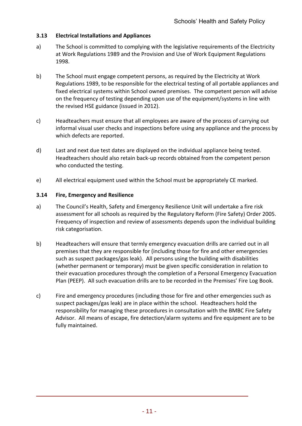# **3.13 Electrical Installations and Appliances**

- a) The School is committed to complying with the legislative requirements of the Electricity at Work Regulations 1989 and the Provision and Use of Work Equipment Regulations 1998.
- b) The School must engage competent persons, as required by the Electricity at Work Regulations 1989, to be responsible for the electrical testing of all portable appliances and fixed electrical systems within School owned premises. The competent person will advise on the frequency of testing depending upon use of the equipment/systems in line with the revised HSE guidance (issued in 2012).
- c) Headteachers must ensure that all employees are aware of the process of carrying out informal visual user checks and inspections before using any appliance and the process by which defects are reported.
- d) Last and next due test dates are displayed on the individual appliance being tested. Headteachers should also retain back-up records obtained from the competent person who conducted the testing.
- e) All electrical equipment used within the School must be appropriately CE marked.

# **3.14 Fire, Emergency and Resilience**

- a) The Council's Health, Safety and Emergency Resilience Unit will undertake a fire risk assessment for all schools as required by the Regulatory Reform (Fire Safety) Order 2005. Frequency of inspection and review of assessments depends upon the individual building risk categorisation.
- b) Headteachers will ensure that termly emergency evacuation drills are carried out in all premises that they are responsible for (including those for fire and other emergencies such as suspect packages/gas leak). All persons using the building with disabilities (whether permanent or temporary) must be given specific consideration in relation to their evacuation procedures through the completion of a Personal Emergency Evacuation Plan (PEEP). All such evacuation drills are to be recorded in the Premises' Fire Log Book.
- c) Fire and emergency procedures (including those for fire and other emergencies such as suspect packages/gas leak) are in place within the school. Headteachers hold the responsibility for managing these procedures in consultation with the BMBC Fire Safety Advisor. All means of escape, fire detection/alarm systems and fire equipment are to be fully maintained.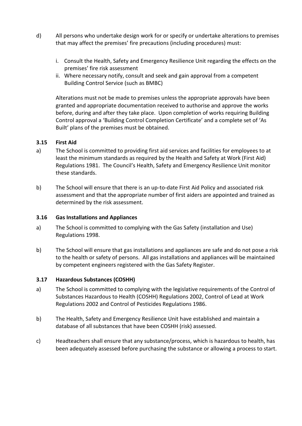- d) All persons who undertake design work for or specify or undertake alterations to premises that may affect the premises' fire precautions (including procedures) must:
	- i. Consult the Health, Safety and Emergency Resilience Unit regarding the effects on the premises' fire risk assessment
	- ii. Where necessary notify, consult and seek and gain approval from a competent Building Control Service (such as BMBC)

Alterations must not be made to premises unless the appropriate approvals have been granted and appropriate documentation received to authorise and approve the works before, during and after they take place. Upon completion of works requiring Building Control approval a 'Building Control Completion Certificate' and a complete set of 'As Built' plans of the premises must be obtained.

#### **3.15 First Aid**

- a) The School is committed to providing first aid services and facilities for employees to at least the minimum standards as required by the Health and Safety at Work (First Aid) Regulations 1981. The Council's Health, Safety and Emergency Resilience Unit monitor these standards.
- b) The School will ensure that there is an up-to-date First Aid Policy and associated risk assessment and that the appropriate number of first aiders are appointed and trained as determined by the risk assessment.

#### **3.16 Gas Installations and Appliances**

- a) The School is committed to complying with the Gas Safety (installation and Use) Regulations 1998.
- b) The School will ensure that gas installations and appliances are safe and do not pose a risk to the health or safety of persons. All gas installations and appliances will be maintained by competent engineers registered with the Gas Safety Register.

#### **3.17 Hazardous Substances (COSHH)**

- a) The School is committed to complying with the legislative requirements of the Control of Substances Hazardous to Health (COSHH) Regulations 2002, Control of Lead at Work Regulations 2002 and Control of Pesticides Regulations 1986.
- b) The Health, Safety and Emergency Resilience Unit have established and maintain a database of all substances that have been COSHH (risk) assessed.
- c) Headteachers shall ensure that any substance/process, which is hazardous to health, has been adequately assessed before purchasing the substance or allowing a process to start.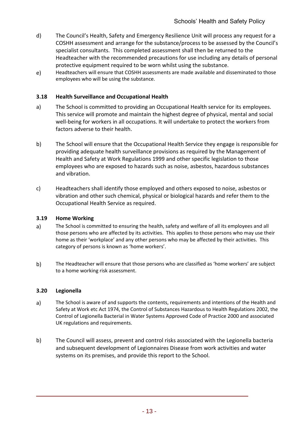- d) The Council's Health, Safety and Emergency Resilience Unit will process any request for a COSHH assessment and arrange for the substance/process to be assessed by the Council's specialist consultants. This completed assessment shall then be returned to the Headteacher with the recommended precautions for use including any details of personal protective equipment required to be worn whilst using the substance.
- e) Headteachers will ensure that COSHH assessments are made available and disseminated to those employees who will be using the substance.

## **3.18 Health Surveillance and Occupational Health**

- a) The School is committed to providing an Occupational Health service for its employees. This service will promote and maintain the highest degree of physical, mental and social well-being for workers in all occupations. It will undertake to protect the workers from factors adverse to their health.
- b) The School will ensure that the Occupational Health Service they engage is responsible for providing adequate health surveillance provisions as required by the Management of Health and Safety at Work Regulations 1999 and other specific legislation to those employees who are exposed to hazards such as noise, asbestos, hazardous substances and vibration.
- c) Headteachers shall identify those employed and others exposed to noise, asbestos or vibration and other such chemical, physical or biological hazards and refer them to the Occupational Health Service as required.

#### **3.19 Home Working**

- a) The School is committed to ensuring the health, safety and welfare of all its employees and all those persons who are affected by its activities. This applies to those persons who may use their home as their 'workplace' and any other persons who may be affected by their activities. This category of persons is known as 'home workers'.
- b) The Headteacher will ensure that those persons who are classified as 'home workers' are subject to a home working risk assessment.

#### **3.20 Legionella**

- a) The School is aware of and supports the contents, requirements and intentions of the Health and Safety at Work etc Act 1974, the Control of Substances Hazardous to Health Regulations 2002, the Control of Legionella Bacterial in Water Systems Approved Code of Practice 2000 and associated UK regulations and requirements.
- b) The Council will assess, prevent and control risks associated with the Legionella bacteria and subsequent development of Legionnaires Disease from work activities and water systems on its premises, and provide this report to the School.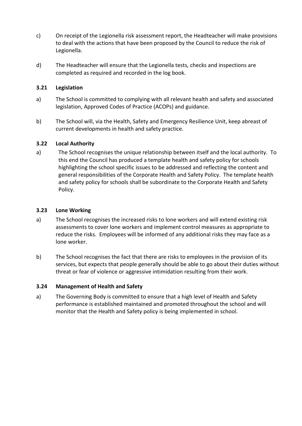- c) On receipt of the Legionella risk assessment report, the Headteacher will make provisions to deal with the actions that have been proposed by the Council to reduce the risk of Legionella.
- d) The Headteacher will ensure that the Legionella tests, checks and inspections are completed as required and recorded in the log book.

# **3.21 Legislation**

- a) The School is committed to complying with all relevant health and safety and associated legislation, Approved Codes of Practice (ACOPs) and guidance.
- b) The School will, via the Health, Safety and Emergency Resilience Unit, keep abreast of current developments in health and safety practice.

## **3.22 Local Authority**

a) The School recognises the unique relationship between itself and the local authority. To this end the Council has produced a template health and safety policy for schools highlighting the school specific issues to be addressed and reflecting the content and general responsibilities of the Corporate Health and Safety Policy. The template health and safety policy for schools shall be subordinate to the Corporate Health and Safety Policy.

## **3.23 Lone Working**

- a) The School recognises the increased risks to lone workers and will extend existing risk assessments to cover lone workers and implement control measures as appropriate to reduce the risks. Employees will be informed of any additional risks they may face as a lone worker.
- b) The School recognises the fact that there are risks to employees in the provision of its services, but expects that people generally should be able to go about their duties without threat or fear of violence or aggressive intimidation resulting from their work.

# **3.24 Management of Health and Safety**

a) The Governing Body is committed to ensure that a high level of Health and Safety performance is established maintained and promoted throughout the school and will monitor that the Health and Safety policy is being implemented in school.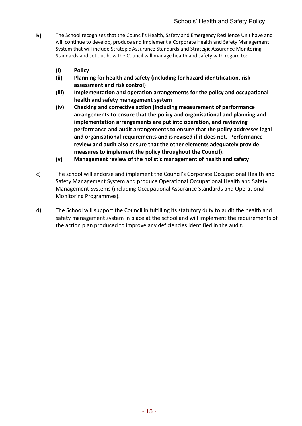- **b)** The School recognises that the Council's Health, Safety and Emergency Resilience Unit have and will continue to develop, produce and implement a Corporate Health and Safety Management System that will include Strategic Assurance Standards and Strategic Assurance Monitoring Standards and set out how the Council will manage health and safety with regard to:
	- **(i) Policy**
	- **(ii) Planning for health and safety (including for hazard identification, risk assessment and risk control)**
	- **(iii) Implementation and operation arrangements for the policy and occupational health and safety management system**
	- **(iv) Checking and corrective action (including measurement of performance arrangements to ensure that the policy and organisational and planning and implementation arrangements are put into operation, and reviewing performance and audit arrangements to ensure that the policy addresses legal and organisational requirements and is revised if it does not. Performance review and audit also ensure that the other elements adequately provide measures to implement the policy throughout the Council).**
	- **(v) Management review of the holistic management of health and safety**
- c) The school will endorse and implement the Council's Corporate Occupational Health and Safety Management System and produce Operational Occupational Health and Safety Management Systems (including Occupational Assurance Standards and Operational Monitoring Programmes).
- d) The School will support the Council in fulfilling its statutory duty to audit the health and safety management system in place at the school and will implement the requirements of the action plan produced to improve any deficiencies identified in the audit.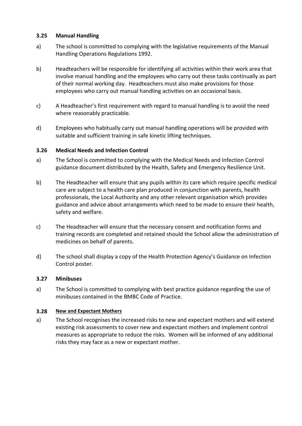#### **3.25 Manual Handling**

- a) The school is committed to complying with the legislative requirements of the Manual Handling Operations Regulations 1992.
- b) Headteachers will be responsible for identifying all activities within their work area that involve manual handling and the employees who carry out these tasks continually as part of their normal working day. Headteachers must also make provisions for those employees who carry out manual handling activities on an occasional basis.
- c) A Headteacher's first requirement with regard to manual handling is to avoid the need where reasonably practicable.
- d) Employees who habitually carry out manual handling operations will be provided with suitable and sufficient training in safe kinetic lifting techniques.

## **3.26 Medical Needs and Infection Control**

- a) The School is committed to complying with the Medical Needs and Infection Control guidance document distributed by the Health, Safety and Emergency Resilience Unit.
- b) The Headteacher will ensure that any pupils within its care which require specific medical care are subject to a health care plan produced in conjunction with parents, health professionals, the Local Authority and any other relevant organisation which provides guidance and advice about arrangements which need to be made to ensure their health, safety and welfare.
- c) The Headteacher will ensure that the necessary consent and notification forms and training records are completed and retained should the School allow the administration of medicines on behalf of parents.
- d) The school shall display a copy of the Health Protection Agency's Guidance on Infection Control poster.

#### **3.27 Minibuses**

a) The School is committed to complying with best practice guidance regarding the use of minibuses contained in the BMBC Code of Practice.

#### **3.28 New and Expectant Mothers**

a) The School recognises the increased risks to new and expectant mothers and will extend existing risk assessments to cover new and expectant mothers and implement control measures as appropriate to reduce the risks. Women will be informed of any additional risks they may face as a new or expectant mother.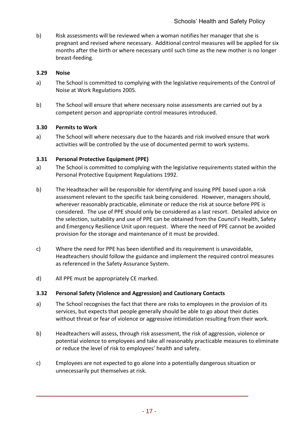b) Risk assessments will be reviewed when a woman notifies her manager that she is pregnant and revised where necessary. Additional control measures will be applied for six months after the birth or where necessary until such time as the new mother is no longer breast-feeding.

# **3.29 Noise**

- a) The School is committed to complying with the legislative requirements of the Control of Noise at Work Regulations 2005.
- b) The School will ensure that where necessary noise assessments are carried out by a competent person and appropriate control measures introduced.

# **3.30 Permits to Work**

a) The School will where necessary due to the hazards and risk involved ensure that work activities will be controlled by the use of documented permit to work systems.

## **3.31 Personal Protective Equipment (PPE)**

- a) The School is committed to complying with the legislative requirements stated within the Personal Protective Equipment Regulations 1992.
- b) The Headteacher will be responsible for identifying and issuing PPE based upon a risk assessment relevant to the specific task being considered. However, managers should, wherever reasonably practicable, eliminate or reduce the risk at source before PPE is considered. The use of PPE should only be considered as a last resort. Detailed advice on the selection, suitability and use of PPE can be obtained from the Council's Health, Safety and Emergency Resilience Unit upon request. Where the need of PPE cannot be avoided provision for the storage and maintenance of it must be provided.
- c) Where the need for PPE has been identified and its requirement is unavoidable, Headteachers should follow the guidance and implement the required control measures as referenced in the Safety Assurance System.
- d) All PPE must be appropriately CE marked.

# **3.32 Personal Safety (Violence and Aggression) and Cautionary Contacts**

- a) The School recognises the fact that there are risks to employees in the provision of its services, but expects that people generally should be able to go about their duties without threat or fear of violence or aggressive intimidation resulting from their work.
- b) Headteachers will assess, through risk assessment, the risk of aggression, violence or potential violence to employees and take all reasonably practicable measures to eliminate or reduce the level of risk to employees' health and safety.
- c) Employees are not expected to go alone into a potentially dangerous situation or unnecessarily put themselves at risk.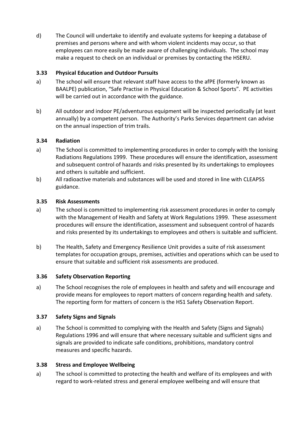d) The Council will undertake to identify and evaluate systems for keeping a database of premises and persons where and with whom violent incidents may occur, so that employees can more easily be made aware of challenging individuals. The school may make a request to check on an individual or premises by contacting the HSERU.

# **3.33 Physical Education and Outdoor Pursuits**

- a) The school will ensure that relevant staff have access to the afPE (formerly known as BAALPE) publication, "Safe Practise in Physical Education & School Sports". PE activities will be carried out in accordance with the guidance.
- b) All outdoor and indoor PE/adventurous equipment will be inspected periodically (at least annually) by a competent person. The Authority's Parks Services department can advise on the annual inspection of trim trails.

# **3.34 Radiation**

- a) The School is committed to implementing procedures in order to comply with the Ionising Radiations Regulations 1999. These procedures will ensure the identification, assessment and subsequent control of hazards and risks presented by its undertakings to employees and others is suitable and sufficient.
- b) All radioactive materials and substances will be used and stored in line with CLEAPSS guidance.

# **3.35 Risk Assessments**

- a) The school is committed to implementing risk assessment procedures in order to comply with the Management of Health and Safety at Work Regulations 1999. These assessment procedures will ensure the identification, assessment and subsequent control of hazards and risks presented by its undertakings to employees and others is suitable and sufficient.
- b) The Health, Safety and Emergency Resilience Unit provides a suite of risk assessment templates for occupation groups, premises, activities and operations which can be used to ensure that suitable and sufficient risk assessments are produced.

# **3.36 Safety Observation Reporting**

a) The School recognises the role of employees in health and safety and will encourage and provide means for employees to report matters of concern regarding health and safety. The reporting form for matters of concern is the HS1 Safety Observation Report.

# **3.37 Safety Signs and Signals**

a) The School is committed to complying with the Health and Safety (Signs and Signals) Regulations 1996 and will ensure that where necessary suitable and sufficient signs and signals are provided to indicate safe conditions, prohibitions, mandatory control measures and specific hazards.

# **3.38 Stress and Employee Wellbeing**

a) The school is committed to protecting the health and welfare of its employees and with regard to work-related stress and general employee wellbeing and will ensure that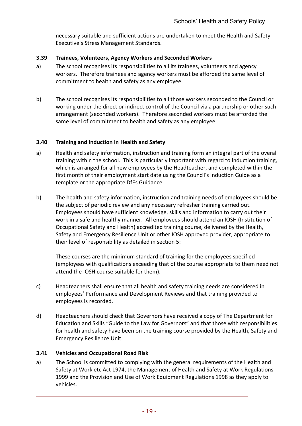necessary suitable and sufficient actions are undertaken to meet the Health and Safety Executive's Stress Management Standards.

## **3.39 Trainees, Volunteers, Agency Workers and Seconded Workers**

- a) The school recognises its responsibilities to all its trainees, volunteers and agency workers. Therefore trainees and agency workers must be afforded the same level of commitment to health and safety as any employee.
- b) The school recognises its responsibilities to all those workers seconded to the Council or working under the direct or indirect control of the Council via a partnership or other such arrangement (seconded workers). Therefore seconded workers must be afforded the same level of commitment to health and safety as any employee.

#### **3.40 Training and Induction in Health and Safety**

- a) Health and safety information, instruction and training form an integral part of the overall training within the school. This is particularly important with regard to induction training, which is arranged for all new employees by the Headteacher, and completed within the first month of their employment start date using the Council's Induction Guide as a template or the appropriate DfEs Guidance.
- b) The health and safety information, instruction and training needs of employees should be the subject of periodic review and any necessary refresher training carried out. Employees should have sufficient knowledge, skills and information to carry out their work in a safe and healthy manner. All employees should attend an IOSH (Institution of Occupational Safety and Health) accredited training course, delivered by the Health, Safety and Emergency Resilience Unit or other IOSH approved provider, appropriate to their level of responsibility as detailed in section 5:

These courses are the minimum standard of training for the employees specified (employees with qualifications exceeding that of the course appropriate to them need not attend the IOSH course suitable for them).

- c) Headteachers shall ensure that all health and safety training needs are considered in employees' Performance and Development Reviews and that training provided to employees is recorded.
- d) Headteachers should check that Governors have received a copy of The Department for Education and Skills "Guide to the Law for Governors" and that those with responsibilities for health and safety have been on the training course provided by the Health, Safety and Emergency Resilience Unit.

# **3.41 Vehicles and Occupational Road Risk**

a) The School is committed to complying with the general requirements of the Health and Safety at Work etc Act 1974, the Management of Health and Safety at Work Regulations 1999 and the Provision and Use of Work Equipment Regulations 1998 as they apply to vehicles.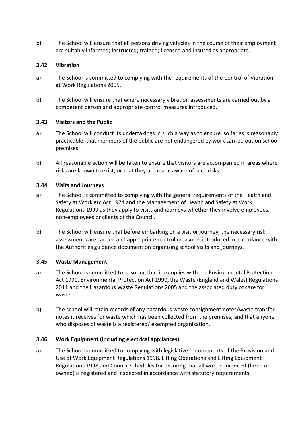b) The School will ensure that all persons driving vehicles in the course of their employment are suitably informed; instructed; trained; licensed and insured as appropriate.

# **3.42 Vibration**

- a) The School is committed to complying with the requirements of the Control of Vibration at Work Regulations 2005.
- b) The School will ensure that where necessary vibration assessments are carried out by a competent person and appropriate control measures introduced.

#### **3.43 Visitors and the Public**

- a) The School will conduct its undertakings in such a way as to ensure, so far as is reasonably practicable, that members of the public are not endangered by work carried out on school premises.
- b) All reasonable action will be taken to ensure that visitors are accompanied in areas where risks are known to exist, or that they are made aware of such risks.

## **3.44 Visits and Journeys**

- a) The School is committed to complying with the general requirements of the Health and Safety at Work etc Act 1974 and the Management of Health and Safety at Work Regulations 1999 as they apply to visits and journeys whether they involve employees, non-employees or clients of the Council.
- b) The School will ensure that before embarking on a visit or journey, the necessary risk assessments are carried and appropriate control measures introduced in accordance with the Authorities guidance document on organising school visits and journeys.

#### **3.45 Waste Management**

- a) The School is committed to ensuring that it complies with the Environmental Protection Act 1990, Environmental Protection Act 1990, the Waste (England and Wales) Regulations 2011 and the Hazardous Waste Regulations 2005 and the associated duty of care for waste.
- b) The school will retain records of any hazardous waste consignment notes/waste transfer notes it receives for waste which has been collected from the premises, and that anyone who disposes of waste is a registered/ exempted organisation.

# **3.46 Work Equipment (including electrical appliances)**

a) The School is committed to complying with legislative requirements of the Provision and Use of Work Equipment Regulations 1998, Lifting Operations and Lifting Equipment Regulations 1998 and Council schedules for ensuring that all work equipment (hired or owned) is registered and inspected in accordance with statutory requirements.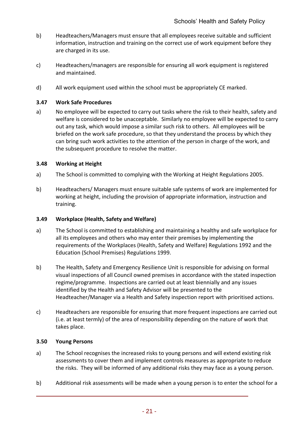- b) Headteachers/Managers must ensure that all employees receive suitable and sufficient information, instruction and training on the correct use of work equipment before they are charged in its use.
- c) Headteachers/managers are responsible for ensuring all work equipment is registered and maintained.
- d) All work equipment used within the school must be appropriately CE marked.

#### **3.47 Work Safe Procedures**

a) No employee will be expected to carry out tasks where the risk to their health, safety and welfare is considered to be unacceptable. Similarly no employee will be expected to carry out any task, which would impose a similar such risk to others. All employees will be briefed on the work safe procedure, so that they understand the process by which they can bring such work activities to the attention of the person in charge of the work, and the subsequent procedure to resolve the matter.

#### **3.48 Working at Height**

- a) The School is committed to complying with the Working at Height Regulations 2005.
- b) Headteachers/ Managers must ensure suitable safe systems of work are implemented for working at height, including the provision of appropriate information, instruction and training.

#### **3.49 Workplace (Health, Safety and Welfare)**

- a) The School is committed to establishing and maintaining a healthy and safe workplace for all its employees and others who may enter their premises by implementing the requirements of the Workplaces (Health, Safety and Welfare) Regulations 1992 and the Education (School Premises) Regulations 1999.
- b) The Health, Safety and Emergency Resilience Unit is responsible for advising on formal visual inspections of all Council owned premises in accordance with the stated inspection regime/programme. Inspections are carried out at least biennially and any issues identified by the Health and Safety Advisor will be presented to the Headteacher/Manager via a Health and Safety inspection report with prioritised actions.
- c) Headteachers are responsible for ensuring that more frequent inspections are carried out (i.e. at least termly) of the area of responsibility depending on the nature of work that takes place.

#### **3.50 Young Persons**

- a) The School recognises the increased risks to young persons and will extend existing risk assessments to cover them and implement controls measures as appropriate to reduce the risks. They will be informed of any additional risks they may face as a young person.
- b) Additional risk assessments will be made when a young person is to enter the school for a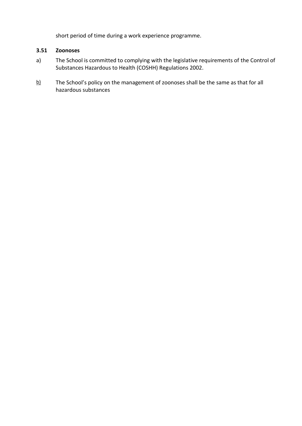short period of time during a work experience programme.

## **3.51 Zoonoses**

- a) The School is committed to complying with the legislative requirements of the Control of Substances Hazardous to Health (COSHH) Regulations 2002.
- $b)$  The School's policy on the management of zoonoses shall be the same as that for all hazardous substances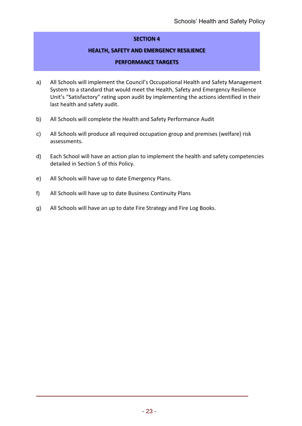# **SECTION 4**

## **HEALTH, SAFETY AND EMERGENCY RESILIENCE**

#### **PERFORMANCE TARGETS**

- a) All Schools will implement the Council's Occupational Health and Safety Management System to a standard that would meet the Health, Safety and Emergency Resilience Unit's "Satisfactory" rating upon audit by implementing the actions identified in their last health and safety audit.
- b) All Schools will complete the Health and Safety Performance Audit
- c) All Schools will produce all required occupation group and premises (welfare) risk assessments.
- d) Each School will have an action plan to implement the health and safety competencies detailed in Section 5 of this Policy.
- e) All Schools will have up to date Emergency Plans.
- f) All Schools will have up to date Business Continuity Plans
- g) All Schools will have an up to date Fire Strategy and Fire Log Books.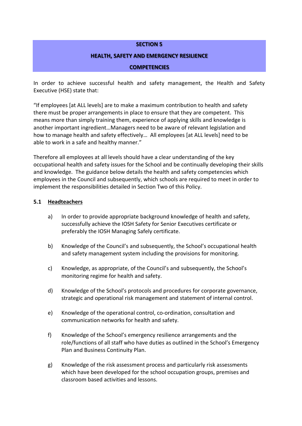#### **SECTION 5**

#### **HEALTH, SAFETY AND EMERGENCY RESILIENCE**

#### **COMPETENCIES**

In order to achieve successful health and safety management, the Health and Safety Executive (HSE) state that:

"If employees [at ALL levels] are to make a maximum contribution to health and safety there must be proper arrangements in place to ensure that they are competent. This means more than simply training them, experience of applying skills and knowledge is another important ingredient…Managers need to be aware of relevant legislation and how to manage health and safety effectively… All employees [at ALL levels] need to be able to work in a safe and healthy manner."

Therefore all employees at all levels should have a clear understanding of the key occupational health and safety issues for the School and be continually developing their skills and knowledge. The guidance below details the health and safety competencies which employees in the Council and subsequently, which schools are required to meet in order to implement the responsibilities detailed in Section Two of this Policy.

#### **5.1 Headteachers**

- a) In order to provide appropriate background knowledge of health and safety, successfully achieve the IOSH Safety for Senior Executives certificate or preferably the IOSH Managing Safely certificate.
- b) Knowledge of the Council's and subsequently, the School's occupational health and safety management system including the provisions for monitoring.
- c) Knowledge, as appropriate, of the Council's and subsequently, the School's monitoring regime for health and safety.
- d) Knowledge of the School's protocols and procedures for corporate governance, strategic and operational risk management and statement of internal control.
- e) Knowledge of the operational control, co-ordination, consultation and communication networks for health and safety.
- f) Knowledge of the School's emergency resilience arrangements and the role/functions of all staff who have duties as outlined in the School's Emergency Plan and Business Continuity Plan.
- g) Knowledge of the risk assessment process and particularly risk assessments which have been developed for the school occupation groups, premises and classroom based activities and lessons.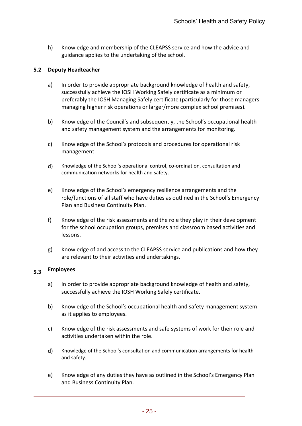h) Knowledge and membership of the CLEAPSS service and how the advice and guidance applies to the undertaking of the school.

## **5.2 Deputy Headteacher**

- a) In order to provide appropriate background knowledge of health and safety, successfully achieve the IOSH Working Safely certificate as a minimum or preferably the IOSH Managing Safely certificate (particularly for those managers managing higher risk operations or larger/more complex school premises).
- b) Knowledge of the Council's and subsequently, the School's occupational health and safety management system and the arrangements for monitoring.
- c) Knowledge of the School's protocols and procedures for operational risk management.
- d) Knowledge of the School's operational control, co-ordination, consultation and communication networks for health and safety.
- e) Knowledge of the School's emergency resilience arrangements and the role/functions of all staff who have duties as outlined in the School's Emergency Plan and Business Continuity Plan.
- f) Knowledge of the risk assessments and the role they play in their development for the school occupation groups, premises and classroom based activities and lessons.
- g) Knowledge of and access to the CLEAPSS service and publications and how they are relevant to their activities and undertakings.

#### **5.3 Employees**

- a) In order to provide appropriate background knowledge of health and safety, successfully achieve the IOSH Working Safely certificate.
- b) Knowledge of the School's occupational health and safety management system as it applies to employees.
- c) Knowledge of the risk assessments and safe systems of work for their role and activities undertaken within the role.
- d) Knowledge of the School's consultation and communication arrangements for health and safety.
- e) Knowledge of any duties they have as outlined in the School's Emergency Plan and Business Continuity Plan.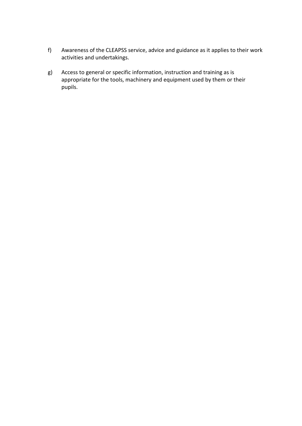- f) Awareness of the CLEAPSS service, advice and guidance as it applies to their work activities and undertakings.
- g) Access to general or specific information, instruction and training as is appropriate for the tools, machinery and equipment used by them or their pupils.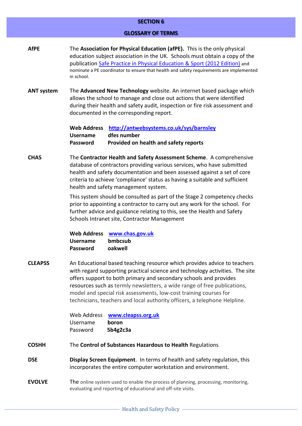#### **SECTION 6**

#### **GLOSSARY OF TERMS**

- **AfPE** The **Association for Physical Education (afPE).** This is the only physical education subject association in the UK. Schools must obtain a copy of the publication [Safe Practice in Physical Education & Sport \(2012 Edition\)](http://www.1st4sport.com/p-1383-1st4sportcom-pre-order-safe-practice-2012-.aspx) and nominate a PE coordinator to ensure that health and safety requirements are implemented in school.
- **ANT system** The **Advanced New Technology** website. An internet based package which allows the school to manage and close out actions that were identified during their health and safety audit, inspection or fire risk assessment and documented in the corresponding report.

**Web Address <http://antwebsystems.co.uk/sys/barnsley> Username dfes number Password Provided on health and safety reports**

**CHAS** The **Contractor Health and Safety Assessment Scheme**. A comprehensive database of contractors providing various services, who have submitted health and safety documentation and been assessed against a set of core criteria to achieve 'compliance' status as having a suitable and sufficient health and safety management system.

> This system should be consulted as part of the Stage 2 competency checks prior to appointing a contractor to carry out any work for the school. For further advice and guidance relating to this, see the Health and Safety Schools Intranet site, Contractor Management

**Web Address [www.chas.gov.uk](http://www.chas.gov.uk/) Username bmbcsub Password oakwell**

**CLEAPSS** An Educational based teaching resource which provides advice to teachers with regard supporting practical science and technology activities. The site offers support to both primary and secondary schools and provides resources such as termly newsletters, a wide range of free publications, model and special risk assessments, low-cost training courses for technicians, teachers and local authority officers, a telephone Helpline.

| Web Address | www.cleapss.org.uk |
|-------------|--------------------|
| Username    | boron              |
| Password    | 5b4g2c3a           |

- **COSHH** The **Control of Substances Hazardous to Health** Regulations
- **DSE Display Screen Equipment**. In terms of health and safety regulation, this incorporates the entire computer workstation and environment.
- **EVOLVE** The online system used to enable the process of planning, processing, monitoring, evaluating and reporting of educational and off-site visits.